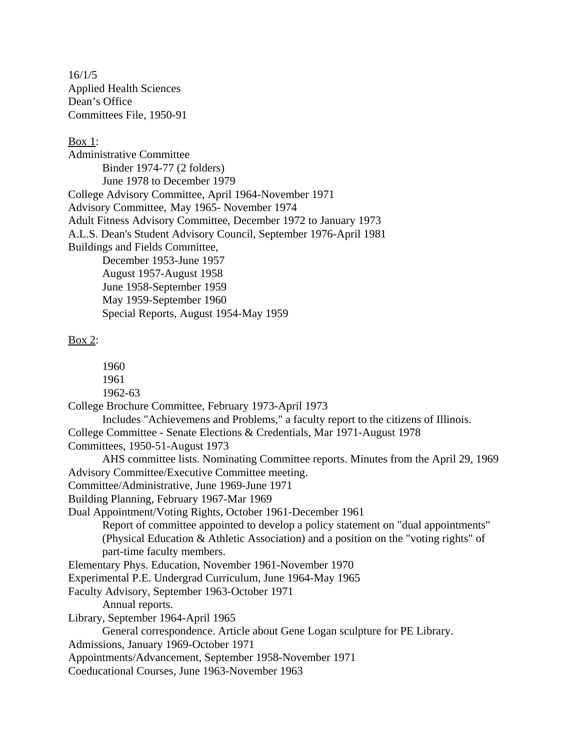16/1/5 Applied Health Sciences Dean's Office Committees File, 1950-91

#### Box 1:

Administrative Committee Binder 1974-77 (2 folders) June 1978 to December 1979 College Advisory Committee, April 1964-November 1971 Advisory Committee, May 1965- November 1974 Adult Fitness Advisory Committee, December 1972 to January 1973 A.L.S. Dean's Student Advisory Council, September 1976-April 1981 Buildings and Fields Committee, December 1953-June 1957 August 1957-August 1958 June 1958-September 1959 May 1959-September 1960 Special Reports, August 1954-May 1959

## Box 2:

1960 1961

- 1962-63
- College Brochure Committee, February 1973-April 1973

Includes "Achievemens and Problems," a faculty report to the citizens of Illinois. College Committee - Senate Elections & Credentials, Mar 1971-August 1978

- Committees, 1950-51-August 1973
- AHS committee lists. Nominating Committee reports. Minutes from the April 29, 1969 Advisory Committee/Executive Committee meeting.
- Committee/Administrative, June 1969-June 1971

Building Planning, February 1967-Mar 1969

Dual Appointment/Voting Rights, October 1961-December 1961

Report of committee appointed to develop a policy statement on "dual appointments" (Physical Education & Athletic Association) and a position on the "voting rights" of part-time faculty members.

Elementary Phys. Education, November 1961-November 1970

Experimental P.E. Undergrad Curriculum, June 1964-May 1965

Faculty Advisory, September 1963-October 1971

Annual reports.

Library, September 1964-April 1965

```
General correspondence. Article about Gene Logan sculpture for PE Library.
```

```
Admissions, January 1969-October 1971
```

```
Appointments/Advancement, September 1958-November 1971
```
Coeducational Courses, June 1963-November 1963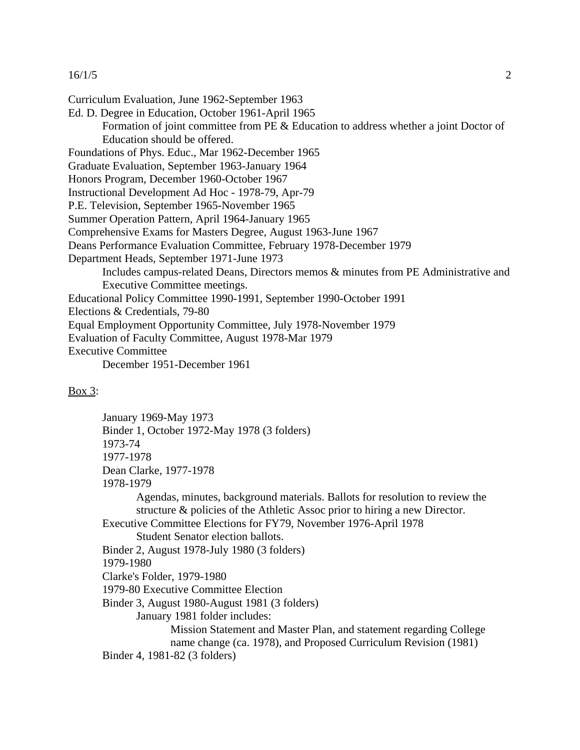### 16/1/5 2

Curriculum Evaluation, June 1962-September 1963 Ed. D. Degree in Education, October 1961-April 1965 Formation of joint committee from PE & Education to address whether a joint Doctor of Education should be offered. Foundations of Phys. Educ., Mar 1962-December 1965 Graduate Evaluation, September 1963-January 1964 Honors Program, December 1960-October 1967 Instructional Development Ad Hoc - 1978-79, Apr-79 P.E. Television, September 1965-November 1965 Summer Operation Pattern, April 1964-January 1965 Comprehensive Exams for Masters Degree, August 1963-June 1967 Deans Performance Evaluation Committee, February 1978-December 1979 Department Heads, September 1971-June 1973 Includes campus-related Deans, Directors memos & minutes from PE Administrative and Executive Committee meetings. Educational Policy Committee 1990-1991, September 1990-October 1991 Elections & Credentials, 79-80 Equal Employment Opportunity Committee, July 1978-November 1979 Evaluation of Faculty Committee, August 1978-Mar 1979 Executive Committee December 1951-December 1961

# Box 3:

January 1969-May 1973 Binder 1, October 1972-May 1978 (3 folders) 1973-74 1977-1978 Dean Clarke, 1977-1978 1978-1979 Agendas, minutes, background materials. Ballots for resolution to review the structure & policies of the Athletic Assoc prior to hiring a new Director. Executive Committee Elections for FY79, November 1976-April 1978 Student Senator election ballots. Binder 2, August 1978-July 1980 (3 folders) 1979-1980 Clarke's Folder, 1979-1980 1979-80 Executive Committee Election Binder 3, August 1980-August 1981 (3 folders) January 1981 folder includes: Mission Statement and Master Plan, and statement regarding College name change (ca. 1978), and Proposed Curriculum Revision (1981) Binder 4, 1981-82 (3 folders)